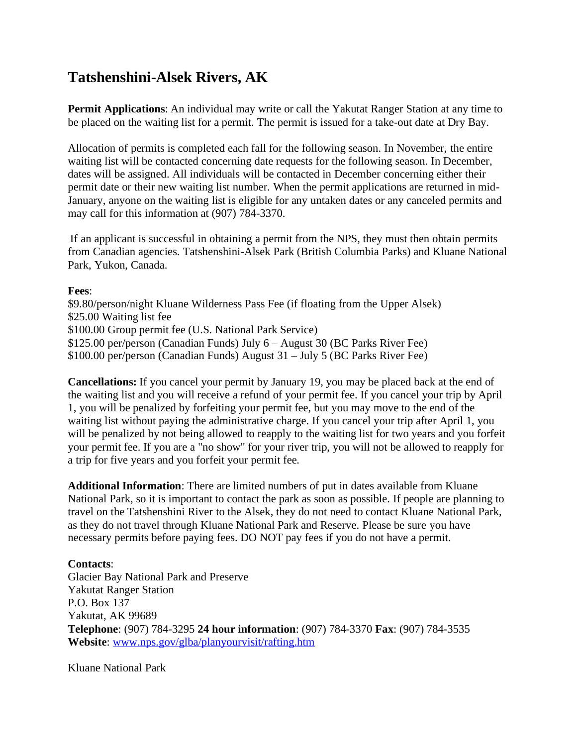## **Tatshenshini-Alsek Rivers, AK**

**Permit Applications**: An individual may write or call the Yakutat Ranger Station at any time to be placed on the waiting list for a permit. The permit is issued for a take-out date at Dry Bay.

Allocation of permits is completed each fall for the following season. In November, the entire waiting list will be contacted concerning date requests for the following season. In December, dates will be assigned. All individuals will be contacted in December concerning either their permit date or their new waiting list number. When the permit applications are returned in mid-January, anyone on the waiting list is eligible for any untaken dates or any canceled permits and may call for this information at (907) 784-3370.

If an applicant is successful in obtaining a permit from the NPS, they must then obtain permits from Canadian agencies. Tatshenshini-Alsek Park (British Columbia Parks) and Kluane National Park, Yukon, Canada.

## **Fees**:

\$9.80/person/night Kluane Wilderness Pass Fee (if floating from the Upper Alsek) \$25.00 Waiting list fee \$100.00 Group permit fee (U.S. National Park Service) \$125.00 per/person (Canadian Funds) July 6 – August 30 (BC Parks River Fee) \$100.00 per/person (Canadian Funds) August 31 – July 5 (BC Parks River Fee)

**Cancellations:** If you cancel your permit by January 19, you may be placed back at the end of the waiting list and you will receive a refund of your permit fee. If you cancel your trip by April 1, you will be penalized by forfeiting your permit fee, but you may move to the end of the waiting list without paying the administrative charge. If you cancel your trip after April 1, you will be penalized by not being allowed to reapply to the waiting list for two years and you forfeit your permit fee. If you are a "no show" for your river trip, you will not be allowed to reapply for a trip for five years and you forfeit your permit fee.

**Additional Information**: There are limited numbers of put in dates available from Kluane National Park, so it is important to contact the park as soon as possible. If people are planning to travel on the Tatshenshini River to the Alsek, they do not need to contact Kluane National Park, as they do not travel through Kluane National Park and Reserve. Please be sure you have necessary permits before paying fees. DO NOT pay fees if you do not have a permit.

## **Contacts**:

Glacier Bay National Park and Preserve Yakutat Ranger Station P.O. Box 137 Yakutat, AK 99689 **Telephone**: (907) 784-3295 **24 hour information**: (907) 784-3370 **Fax**: (907) 784-3535 **Website**: [www.nps.gov/glba/planyourvisit/rafting.htm](http://www.nps.gov/glba/planyourvisit/rafting.htm)

Kluane National Park